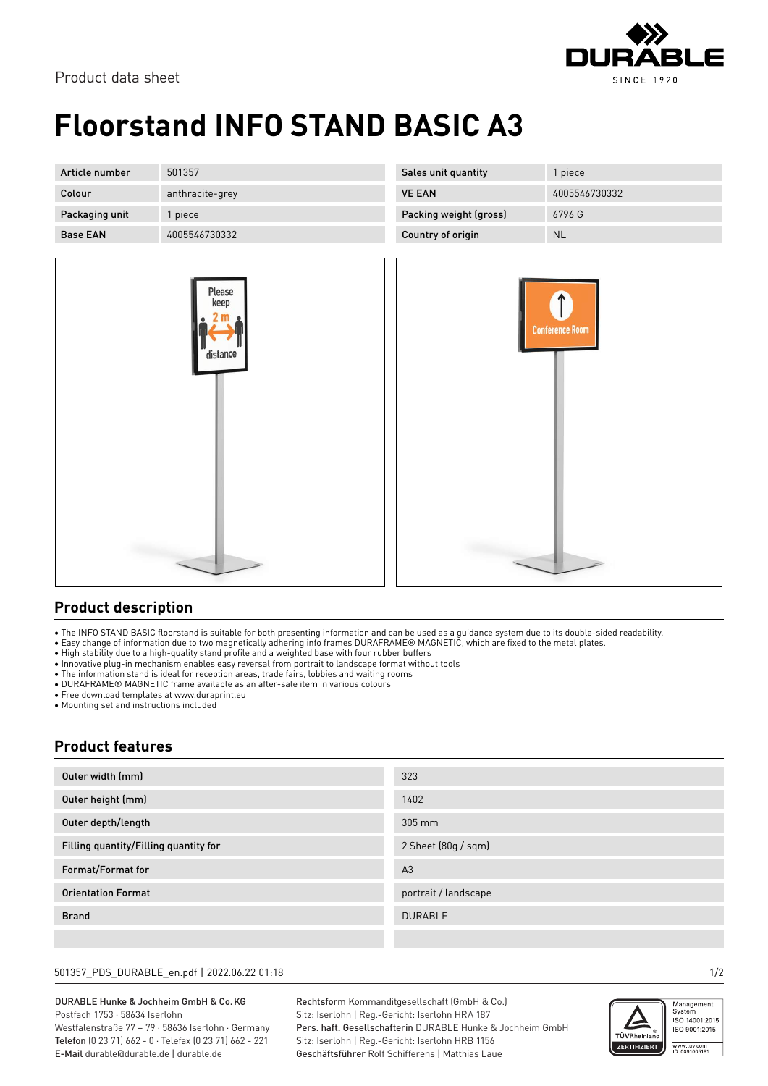

# **Floorstand INFO STAND BASIC A3**

| Article number  | 501357          | Sales unit quantity    | piece         |
|-----------------|-----------------|------------------------|---------------|
| Colour          | anthracite-grey | <b>VE EAN</b>          | 4005546730332 |
| Packaging unit  | l piece         | Packing weight (gross) | 6796 G        |
| <b>Base EAN</b> | 4005546730332   | Country of origin      | <b>NL</b>     |



### **Product description**

• The INFO STAND BASIC floorstand is suitable for both presenting information and can be used as a guidance system due to its double-sided readability.

• Easy change of information due to two magnetically adhering info frames DURAFRAME® MAGNETIC, which are fixed to the metal plates.

- High stability due to a high-quality stand profile and a weighted base with four rubber buffers
- Innovative plug-in mechanism enables easy reversal from portrait to landscape format without tools
- The information stand is ideal for reception areas, trade fairs, lobbies and waiting rooms
- DURAFRAME® MAGNETIC frame available as an after-sale item in various colours

• Free download templates at www.duraprint.eu

• Mounting set and instructions included

### **Product features**

| Outer width (mm)                      | 323                  |
|---------------------------------------|----------------------|
| Outer height (mm)                     | 1402                 |
| Outer depth/length                    | 305 mm               |
| Filling quantity/Filling quantity for | 2 Sheet (80g / sqm)  |
| Format/Format for                     | A <sub>3</sub>       |
| <b>Orientation Format</b>             | portrait / landscape |
| <b>Brand</b>                          | <b>DURABLE</b>       |
|                                       |                      |

#### 501357\_PDS\_DURABLE\_en.pdf | 2022.06.22 01:18 1/2

#### DURABLE Hunke & Jochheim GmbH & Co.KG Postfach 1753 · 58634 Iserlohn Westfalenstraße 77 – 79 · 58636 Iserlohn · Germany

Telefon (0 23 71) 662 - 0 · Telefax (0 23 71) 662 - 221 E-Mail durable@durable.de | durable.de

Rechtsform Kommanditgesellschaft (GmbH & Co.) Sitz: Iserlohn | Reg.-Gericht: Iserlohn HRA 187 Pers. haft. Gesellschafterin DURABLE Hunke & Jochheim GmbH Sitz: Iserlohn | Reg.-Gericht: Iserlohn HRB 1156 Geschäftsführer Rolf Schifferens | Matthias Laue